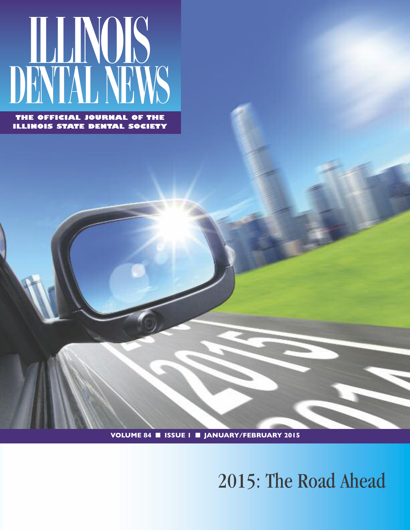

**THE OFFICIAL JOURNAL OF THE ILLINOIS STATE DENTAL SOCIETY**

**VOLUME 84** ■ **ISSUE 1** ■ **JANUARY/FEBRUARY 2015**

# 2015: The Road Ahead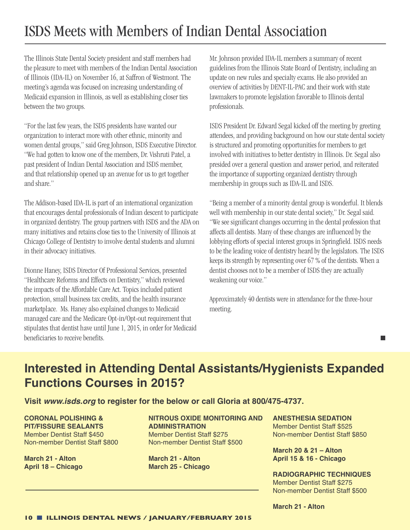## ISDS Meets with Members of Indian Dental Association

The Illinois State Dental Society president and staff members had the pleasure to meet with members of the Indian Dental Association of Illinois (IDA-IL) on November 16, at Saffron of Westmont. The meeting's agenda was focused on increasing understanding of Medicaid expansion in Illinois, as well as establishing closer ties between the two groups.

"For the last few years, the ISDS presidents have wanted our organization to interact more with other ethnic, minority and women dental groups," said Greg Johnson, ISDS Executive Director. "We had gotten to know one of the members, Dr. Vishruti Patel, a past president of Indian Dental Association and ISDS member, and that relationship opened up an avenue for us to get together andshare."

The Addison-based IDA-IL is part of an international organization that encourages dental professionals of Indian descent to participate in organized dentistry. The group partners with ISDS and the ADA on many initiatives and retains close ties to the University of Illinois at Chicago College of Dentistry to involve dental students and alumni in their advocacy initiatives.

Dionne Haney, ISDS Director Of Professional Services, presented "Healthcare Reforms and Effects on Dentistry," which reviewed the impacts of the Affordable Care Act. Topics included patient protection, small business tax credits, and the health insurance marketplace. Ms. Haney also explained changes to Medicaid managed care and the Medicare Opt-in/Opt-out requirement that stipulates that dentist have until June 1, 2015, in order for Medicaid beneficiaries to receive benefits.

Mr. Johnson provided IDA-IL members a summary of recent guidelines from the Illinois State Board of Dentistry, including an update on new rules and specialty exams. He also provided an overview of activities by DENT-IL-PAC and their work with state lawmakers to promote legislation favorable to Illinois dental professionals.

ISDS President Dr. Edward Segal kicked off the meeting by greeting attendees, and providing background on how our state dental society is structured and promoting opportunities for members to get involved with initiatives to better dentistry in Illinois. Dr. Segal also presided over a general question and answer period, and reiterated the importance of supporting organized dentistry through membership in groups such as IDA-IL and ISDS.

"Being a member of a minority dental group is wonderful. It blends well with membership in our state dental society," Dr. Segal said. "We see significant changes occurring in the dental profession that affects all dentists. Many of these changes are influenced by the lobbying efforts of special interest groups in Springfield. ISDS needs to be the leading voice of dentistry heard by the legislators. The ISDS keeps its strength by representing over 67 % of the dentists. When a dentist chooses not to be a member of ISDS they are actually weakening our voice."

Approximately 40 dentists were in attendance for the three-hour meeting.

#### **College**

#### **Interested in Attending Dental Assistants/Hygienists Expanded Functions Courses in 2015?**

**Visit** *www.isds.org* **to register for the below or call Gloria at 800/475-4737.**

**CORONAL POLISHING & PIT/FISSURE SEALANTS** Member Dentist Staff \$450 Non-member Dentist Staff \$800

**March 21 - Alton April 18 – Chicago** **NITROUS OXIDE MONITORING AND ADMINISTRATION** Member Dentist Staff \$275 Non-member Dentist Staff \$500

**March 21 - Alton March 25 - Chicago** **ANESTHESIA SEDATION** Member Dentist Staff \$525 Non-member Dentist Staff \$850

**March 20 & 21 – Alton April 15 & 16 - Chicago**

**RADIOGRAPHIC TECHNIQUES** Member Dentist Staff \$275 Non-member Dentist Staff \$500

**March 21 - Alton**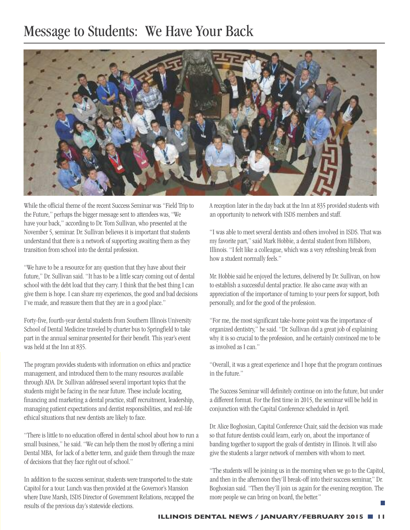### Message to Students: We Have Your Back



While the official theme of the recent Success Seminar was "Field Trip to the Future," perhaps the bigger message sent to attendees was, "We have your back," according to Dr. Tom Sullivan, who presented at the November 5, seminar. Dr. Sullivan believes it is important that students understand that there is a network of supporting awaiting them as they transition from school into the dental profession.

"We have to be a resource for any question that they have about their future," Dr. Sullivan said. "It has to be a little scary coming out of dental school with the debt load that they carry. I think that the best thing I can give them is hope. I can share my experiences, the good and bad decisions I've made, and reassure them that they are in a good place."

Forty-five, fourth-year dental students from Southern Illinois University School of Dental Medicine traveled by charter bus to Springfield to take part in the annual seminar presented for their benefit. This year's event was held at the Inn at 835.

The program provides students with information on ethics and practice management, and introduced them to the many resources available through ADA. Dr. Sullivan addressed several important topics that the students might be facing in the near future. These include locating, financing and marketing a dental practice, staff recruitment, leadership, managing patient expectations and dentist responsibilities, and real-life ethical situations that new dentists are likely to face.

"There is little to no education offered in dental school about how to run a small business," he said. "We can help them the most by offering a mini Dental MBA, for lack of a better term, and guide them through the maze of decisions that they face right out of school."

In addition to the success seminar, students were transported to the state Capitol for a tour. Lunch was then provided at the Governor's Mansion where Dave Marsh, ISDS Director of Government Relations, recapped the results of the previous day's statewide elections.

A reception later in the day back at the Inn at 835 provided students with an opportunity to network with ISDS members and staff.

"I was able to meet several dentists and others involved in ISDS. That was my favorite part," said Mark Hobbie, a dental student from Hillsboro, Illinois. "I felt like a colleague, which was a very refreshing break from how a student normally feels."

Mr. Hobbie said he enjoyed the lectures, delivered by Dr. Sullivan, on how to establish a successful dental practice. He also came away with an appreciation of the importance of turning to your peers for support, both personally, and for the good of the profession.

"For me, the most significant take-home point was the importance of organized dentistry," he said. "Dr. Sullivan did a great job of explaining why it is so crucial to the profession, and he certainly convinced me to be as involved as I can."

"Overall, it was a great experience and I hope that the program continues in the future."

The Success Seminar will definitely continue on into the future, but under a different format. For the first time in 2015, the seminar will be held in conjunction with the Capital Conference scheduledin April.

Dr. Alice Boghosian, Capital Conference Chair, said the decision was made so that future dentists could learn, early on, about the importance of banding together to support the goals of dentistry in Illinois. It will also give the students a larger network of members with whom to meet.

"The students will be joining us in the morning when we go to the Capitol, and then in the afternoon they'll break-off into their success seminar," Dr. Boghosian said. "Then they'll join us again for the evening reception. The more people we can bring on board, the better."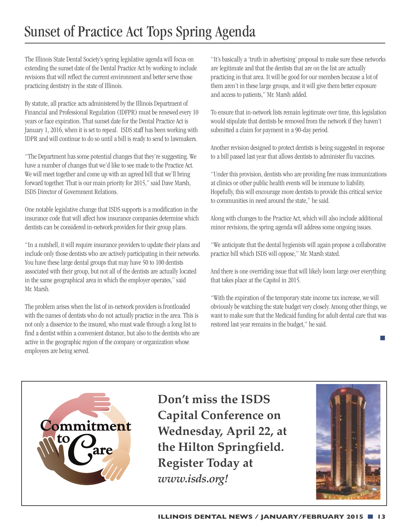## Sunset of Practice Act Tops Spring Agenda

The Illinois State Dental Society's spring legislative agenda will focus on extending the sunset date of the Dental Practice Act by working to include revisions that will reflect the current environment and better serve those practicing dentistry in the state of Illinois.

By statute, all practice acts administered by the Illinois Department of Financial and Professional Regulation (IDFPR) must be renewed every 10 years or face expiration. That sunset date for the Dental Practice Act is January 1, 2016, when it is set to repeal. ISDS staff has been working with IDPR and will continue to do so until a bill is ready to send to lawmakers.

"The Department has some potential changes that they're suggesting. We have a number of changes that we'd like to see made to the Practice Act. We will meet together and come up with an agreed bill that we'll bring forward together. That is our main priority for 2015," said Dave Marsh, ISDS Director of Government Relations.

One notable legislative change that ISDS supports is a modification in the insurance code that will affect how insurance companies determine which dentists can be considered in-network providers for their group plans.

"In a nutshell, it will require insurance providers to update their plans and include only those dentists who are actively participating in their networks. You have these large dental groups that may have 50 to 100 dentists associated with their group, but not all of the dentists are actually located in the same geographical area in which the employer operates," said Mr. Marsh.

The problem arises when the list of in-network providers is frontloaded with the names of dentists who do not actually practice in the area. This is notonlyadisservice tothe insured, who must wade through alonglist to find a dentist within a convenient distance, but also to the dentists who are active in the geographic region of the company or organization whose employees are being served.

"It'sbasicallya'truth in advertising'proposal to make sure these networks are legitimate and that the dentists that are on the list are actually practicing in that area. It will be good for our members because a lot of them aren't in these large groups, and it will give them better exposure and access to patients," Mr. Marsh added.

To ensure that in-network lists remain legitimate over time, this legislation would stipulate that dentists be removed from the network if they haven't submitted a claim for payment in a 90-day period.

Another revision designed to protect dentists is being suggested in response to a bill passed last year that allows dentists to administer flu vaccines.

"Under this provision, dentists who are providing free mass immunizations" at clinics or other public health events will be immune to liability. Hopefully, this will encourage more dentists to provide this critical service to communities in need around the state," he said.

Along with changes to the Practice Act, which will also include additional minor revisions, the spring agenda will address some ongoing issues.

"We anticipate that the dental hygienists will again propose a collaborative practice bill which ISDS will oppose," Mr. Marsh stated.

And there is one overriding issue that will likely loom large over everything that takes place at the Capitol in 2015.

"With the expiration of the temporary state income taxincrease, we will obviously be watching the state budget very closely. Among other things, we want to make sure that the Medicaid funding for adult dental care that was restored last year remains in the budget," he said.



**Don't miss the ISDS Capital Conference on Wednesday, April 22, at the Hilton Springfield. Register Today at** *www.isds.org!*



**Tara**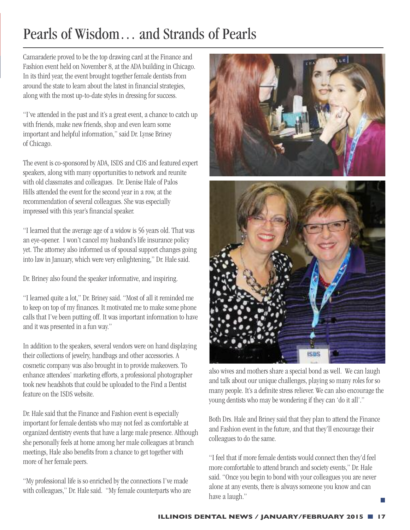## Pearls of Wisdom… and Strands of Pearls

Camaraderie proved to be the top drawing card at the Finance and Fashion event held on November 8, at the ADA building in Chicago. In its third year, the event brought together female dentists from around the state to learn about the latest in financial strategies, along with the most up-to-date styles in dressing for success.

"I've attended in the past and it's a great event, a chance to catch up with friends, make new friends, shop and even learn some important and helpful information," said Dr. Lynse Briney of Chicago.

The event is co-sponsored by ADA, ISDS and CDS and featured expert speakers, along with many opportunities to network and reunite with old classmates and colleagues. Dr. Denise Hale of Palos Hills attended the event for the second year in a row, at the recommendation of several colleagues. She was especially impressed with this year's financial speaker.

"I learned that the average age of a widow is 56 years old. That was an eye-opener. I won't cancel my husband's life insurance policy yet. The attorney also informed us of spousal support changes going into law in January, which were very enlightening," Dr. Hale said.

Dr. Briney also found the speaker informative, and inspiring.

"I learned quite a lot," Dr. Briney said. "Most of all it reminded me to keep on top of my finances. It motivated me to make some phone calls that I've been putting off. It was important information to have and it was presented in a fun way."

In addition to the speakers, several vendors were on hand displaying their collections of jewelry, handbags and other accessories. A cosmetic company was also brought in to provide makeovers. To enhance attendees' marketing efforts, a professional photographer took new headshots that could be uploaded to the Find a Dentist feature on the ISDS website.

Dr. Hale said that the Finance and Fashion event is especially important for female dentists who may not feel as comfortable at organized dentistry events that have a large male presence. Although she personally feels at home among her male colleagues at branch meetings, Hale also benefits from a chance to get together with more of her female peers.

"My professional life is so enriched by the connections I've made with colleagues," Dr. Hale said. "My female counterparts who are





also wives and mothers share a special bond as well. We can laugh and talk about our unique challenges, playing so many roles for so many people. It's a definite stress reliever. We can also encourage the young dentists who may be wondering if they can 'do it all'."

Both Drs. Hale and Briney said that they plan to attend the Finance and Fashion event in the future, and that they'll encourage their colleagues to do the same.

"I feel that if more female dentists would connect then they'd feel more comfortable to attend branch and society events," Dr. Hale said. "Once you begin to bond with your colleagues you are never alone at any events, there is always someone you know and can have a laugh."